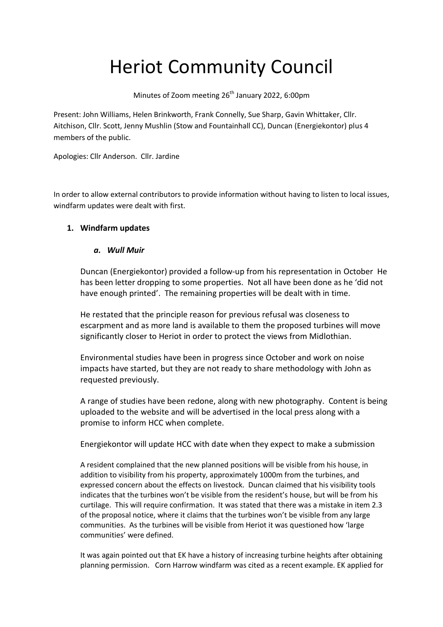# Heriot Community Council

Minutes of Zoom meeting 26<sup>th</sup> January 2022, 6:00pm

Present: John Williams, Helen Brinkworth, Frank Connelly, Sue Sharp, Gavin Whittaker, Cllr. Aitchison, Cllr. Scott, Jenny Mushlin (Stow and Fountainhall CC), Duncan (Energiekontor) plus 4 members of the public.

Apologies: Cllr Anderson. Cllr. Jardine

In order to allow external contributors to provide information without having to listen to local issues, windfarm updates were dealt with first.

## **1. Windfarm updates**

### *a. Wull Muir*

Duncan (Energiekontor) provided a follow-up from his representation in October He has been letter dropping to some properties. Not all have been done as he 'did not have enough printed'. The remaining properties will be dealt with in time.

He restated that the principle reason for previous refusal was closeness to escarpment and as more land is available to them the proposed turbines will move significantly closer to Heriot in order to protect the views from Midlothian.

Environmental studies have been in progress since October and work on noise impacts have started, but they are not ready to share methodology with John as requested previously.

A range of studies have been redone, along with new photography. Content is being uploaded to the website and will be advertised in the local press along with a promise to inform HCC when complete.

Energiekontor will update HCC with date when they expect to make a submission

A resident complained that the new planned positions will be visible from his house, in addition to visibility from his property, approximately 1000m from the turbines, and expressed concern about the effects on livestock. Duncan claimed that his visibility tools indicates that the turbines won't be visible from the resident's house, but will be from his curtilage. This will require confirmation. It was stated that there was a mistake in item 2.3 of the proposal notice, where it claims that the turbines won't be visible from any large communities. As the turbines will be visible from Heriot it was questioned how 'large communities' were defined.

It was again pointed out that EK have a history of increasing turbine heights after obtaining planning permission. Corn Harrow windfarm was cited as a recent example. EK applied for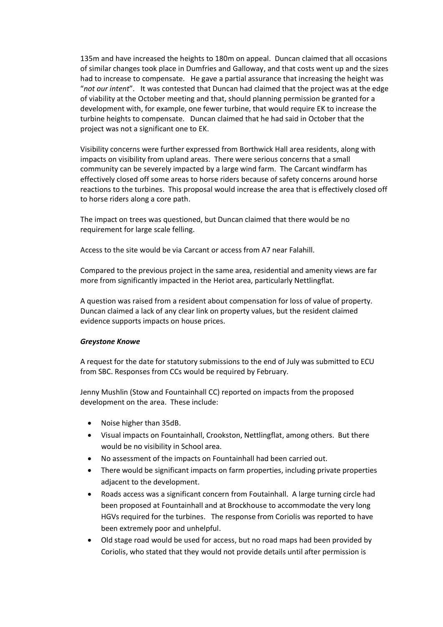135m and have increased the heights to 180m on appeal. Duncan claimed that all occasions of similar changes took place in Dumfries and Galloway, and that costs went up and the sizes had to increase to compensate. He gave a partial assurance that increasing the height was "*not our intent*". It was contested that Duncan had claimed that the project was at the edge of viability at the October meeting and that, should planning permission be granted for a development with, for example, one fewer turbine, that would require EK to increase the turbine heights to compensate. Duncan claimed that he had said in October that the project was not a significant one to EK.

Visibility concerns were further expressed from Borthwick Hall area residents, along with impacts on visibility from upland areas. There were serious concerns that a small community can be severely impacted by a large wind farm. The Carcant windfarm has effectively closed off some areas to horse riders because of safety concerns around horse reactions to the turbines. This proposal would increase the area that is effectively closed off to horse riders along a core path.

The impact on trees was questioned, but Duncan claimed that there would be no requirement for large scale felling.

Access to the site would be via Carcant or access from A7 near Falahill.

Compared to the previous project in the same area, residential and amenity views are far more from significantly impacted in the Heriot area, particularly Nettlingflat.

A question was raised from a resident about compensation for loss of value of property. Duncan claimed a lack of any clear link on property values, but the resident claimed evidence supports impacts on house prices.

#### *Greystone Knowe*

A request for the date for statutory submissions to the end of July was submitted to ECU from SBC. Responses from CCs would be required by February.

Jenny Mushlin (Stow and Fountainhall CC) reported on impacts from the proposed development on the area. These include:

- Noise higher than 35dB.
- Visual impacts on Fountainhall, Crookston, Nettlingflat, among others. But there would be no visibility in School area.
- No assessment of the impacts on Fountainhall had been carried out.
- There would be significant impacts on farm properties, including private properties adjacent to the development.
- Roads access was a significant concern from Foutainhall. A large turning circle had been proposed at Fountainhall and at Brockhouse to accommodate the very long HGVs required for the turbines. The response from Coriolis was reported to have been extremely poor and unhelpful.
- Old stage road would be used for access, but no road maps had been provided by Coriolis, who stated that they would not provide details until after permission is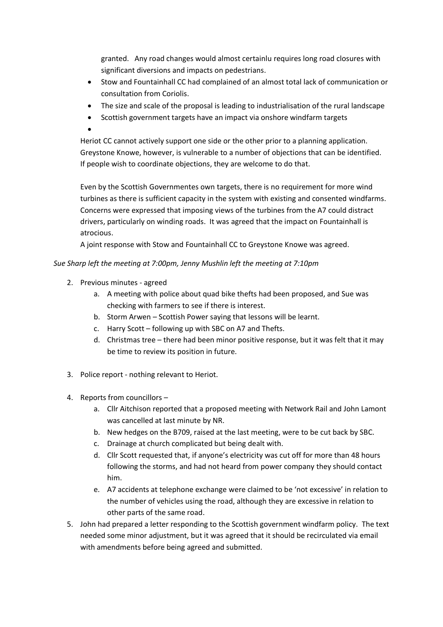granted. Any road changes would almost certainlu requires long road closures with significant diversions and impacts on pedestrians.

- Stow and Fountainhall CC had complained of an almost total lack of communication or consultation from Coriolis.
- The size and scale of the proposal is leading to industrialisation of the rural landscape
- Scottish government targets have an impact via onshore windfarm targets
- $\bullet$

Heriot CC cannot actively support one side or the other prior to a planning application. Greystone Knowe, however, is vulnerable to a number of objections that can be identified. If people wish to coordinate objections, they are welcome to do that.

Even by the Scottish Governmentes own targets, there is no requirement for more wind turbines as there is sufficient capacity in the system with existing and consented windfarms. Concerns were expressed that imposing views of the turbines from the A7 could distract drivers, particularly on winding roads. It was agreed that the impact on Fountainhall is atrocious.

A joint response with Stow and Fountainhall CC to Greystone Knowe was agreed.

#### *Sue Sharp left the meeting at 7:00pm, Jenny Mushlin left the meeting at 7:10pm*

- 2. Previous minutes agreed
	- a. A meeting with police about quad bike thefts had been proposed, and Sue was checking with farmers to see if there is interest.
	- b. Storm Arwen Scottish Power saying that lessons will be learnt.
	- c. Harry Scott following up with SBC on A7 and Thefts.
	- d. Christmas tree there had been minor positive response, but it was felt that it may be time to review its position in future.
- 3. Police report nothing relevant to Heriot.
- 4. Reports from councillors
	- a. Cllr Aitchison reported that a proposed meeting with Network Rail and John Lamont was cancelled at last minute by NR.
	- b. New hedges on the B709, raised at the last meeting, were to be cut back by SBC.
	- c. Drainage at church complicated but being dealt with.
	- d. Cllr Scott requested that, if anyone's electricity was cut off for more than 48 hours following the storms, and had not heard from power company they should contact him.
	- e. A7 accidents at telephone exchange were claimed to be 'not excessive' in relation to the number of vehicles using the road, although they are excessive in relation to other parts of the same road.
- 5. John had prepared a letter responding to the Scottish government windfarm policy. The text needed some minor adjustment, but it was agreed that it should be recirculated via email with amendments before being agreed and submitted.